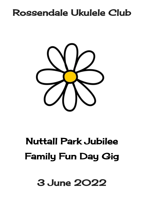# Rossendale Ukulele Club



# Nuttall Park Jubilee Family Fun Day Gig

3 June 2022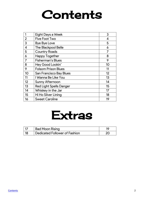# [Contents](#page-1-0)

<span id="page-1-0"></span>

|                | Eight Days a Week              | 3  |
|----------------|--------------------------------|----|
| $\overline{2}$ | <b>Five Foot Two</b>           | 4  |
| 3              | <b>Bye Bye Love</b>            | 5  |
| 4              | <b>The Blackpool Belle</b>     | 6  |
| 5              | <b>Country Roads</b>           | 7  |
| 6              | <b>Happy Together</b>          | 8  |
| $\overline{7}$ | <b>Fisherman's Blues</b>       | 9  |
| 8              | Hey Good Lookin'               | 10 |
| 9              | <b>Folsom Prison Blues</b>     | 11 |
| 10             | <b>San Francisco Bay Blues</b> | 12 |
| 11             | I Wanna Be Like You            | 13 |
| 12             | Sunny Afternoon                | 14 |
| 13             | <b>Red Light Spells Danger</b> | 15 |
| 14             | Whiskey in the Jar             | 17 |
| 15             | Hi Ho Silver Lining            | 18 |
| 16             | <b>Sweet Caroline</b>          | 19 |
|                |                                |    |

# [Extras](#page-1-0)

|    | <b>Bad Moon Rising</b>               |  |
|----|--------------------------------------|--|
| 18 | <b>Dedicated Follower of Fashion</b> |  |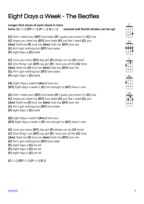# <span id="page-2-0"></span>Eight Days a Week - The Beatles

| Longer first strum of each chord in intro                                                                                                                                                                                                                                              |  |
|----------------------------------------------------------------------------------------------------------------------------------------------------------------------------------------------------------------------------------------------------------------------------------------|--|
| Intro: [CIIII] [D7IIII] [FIIII] [CIIII] (second and fourth strokes can be up)                                                                                                                                                                                                          |  |
| [C] Ooh I need your [D7] love babe [F] I guess you know it's [C] true<br>[C] Hope you need my [D7] love babe [F] just like I need [C] you<br>[Am] Hold me [F] love me [Am] hold me [D7] love me<br>[C] Ain't got nothing but [D7] love babe<br><b>[F]</b> eight days a <b>[C]</b> week |  |
| [C] Love you every [D7] day girl [F] always on my [C] mind<br>$[C]$ One thing I can $[D7]$ say girl $[F]$ I love you all the $[C]$ time<br>[Am] Hold me [F] love me [Am] hold me [D7] love me<br>[C] Ain't got nothing but [D7] love babe<br>[F] eight days a [C] week                 |  |
| [G] Eight days a week I [Am I] love you<br>[D7] Eight days a week is [F] not enough to [G7] show I care                                                                                                                                                                                |  |
| [C] Ooh I need your [D7] love babe [F] I guess you know it's [C] true<br>[C] Hope you need my [D7] love babe [F] just like I need [C] you                                                                                                                                              |  |

**[Am]** Hold me **[F]** love me **[Am]** hold me **[D7]** love me

**[C]** Ain't got nothing but **[D7]** love babe

**[F]** eight days a **[C]** week

**[G]** Eight days a week **I [Am↓]** love you **[D7]** Eight days a week is **[F]** not enough to **[G7]** show I care

**[C]** Love you every **[D7]** day girl **[F]** always on my **[C]** mind **[C]** One thing I can **[D7]** say girl **[F]** I love you all the **[C]** time **[Am]** Hold me **[F]** love me **[Am]** hold me **[D7]** love me **[C]** Ain't got nothing but **[D7]** love babe **[F]** eight days a **[C]** we-ek **[F]** eight days a **[C]** we-ek **[F]** eight days a **[C]** we-ek

**[C↓↓↓↓] [D7↓↓↓↓] [F↓↓↓↓] [C↓]**







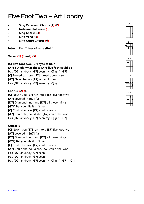# <span id="page-3-0"></span>Five Foot Two – Art Landry

- **• Sing Verse and Chorus (1) (2)**
- **• Instrumental Verse (3)**
- **• Sing Chorus (4)**
- **• Sing Verse (5)**
- **• Sing Outro Chorus (6)**

**Intro:** First 2 lines of verse **(Bold)** 

**Verse: (1) (3 inst) (5)**

**[C] Five foot two, [E7] eyes of blue [A7] but oh, what those [A7] five foot could do** Has **[D7]** anybody **[G7]** seen my **[C]** girl? **[G7] [C]** Turned up nose, **[E7]** turned down hose **[A7]** Never has no **[A7]** other clothes Has **[D7]** anybody **[G7]** seen my **[C]** girl?

#### **Chorus: (2) (4)**

**[C]** Now if you **[E7]** run into a **[E7]** five foot two **[A7]** covered in **[A7]** fur **[D7]** Diamond rings and **[D7]** all those things **[G7↓]** Bet your life it isn't her **[C]** Could she love, **[E7]** could she coo. **[A7]** Could she, could she, **[A7]** could she, woo! Has **[D7]** anybody **[G7]** seen my **[C]** girl? **[G7]**

#### **Outro: (6)**

**[C]** Now if you **[E7]** run into a **[E7]** five foot two **[A7]** covered in **[A7]** fur **[D7]** Diamond rings and **[D7]** all those things **[G7↓]** Bet your life it isn't her **[C]** Could she love, **[E7]** could she coo. **[A7]** Could she, could she, **[A7]** could she, woo! Has **[D7]** anybody **[G7]** seen Has **[D7]** anybody **[G7]** seen Has **[D7]** anybody **[G7]** seen my **[C]** girl? **[G7↓] [C↓]**



 $\overline{C}$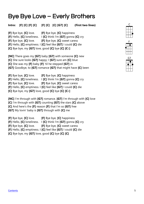# <span id="page-4-0"></span>Bye Bye Love – Everly Brothers

**Intro: [F] [C] [F] [C] [F] [C] [C] [G7] [C] (First two lines)**

**[F]** Bye bye, **[C]** love. **[F]** Bye bye, **[C]** happiness **[F]** Hello, **[C]** loneliness. I **[C]** think I'm **[G7]** gonna **[C]** cry **[F]** Bye bye, **[C]** love. **[F]** Bye bye, **[C]** sweet caress **[F]** Hello, **[C]** emptiness. I **[C]** feel like **[G7]** I could **[C]** die **[C]** Bye bye, my **[G7]** love, good **[C]** bye **[C] [C↓]**

**[NC]** There goes my **[G7]** baby **[G7]** with someone **[C]** new **[C]** She sure looks **[G7]** happy; I **[G7]** sure am **[C]** blue **[C]** She was my **[F]** baby **[F]** 'til he stepped **[G7]** in **[G7]** Goodbye, to **[G7]** romance **[G7]** that might have **[C]** been

**[F]** Bye bye, **[C]** love. **[F]** Bye bye, **[C]** happiness **[F]** Hello, **[C]** loneliness. I **[C]** think I'm **[G7]** gonna **[C]** cry **[F]** Bye bye, **[C]** love. **[F]** Bye bye, **[C]** sweet caress **[F]** Hello, **[C]** emptiness. I **[C]** feel like **[G7]** I could **[C]** die **[C]** Bye bye, my **[G7]** love, good **[C]** bye **[C] [C↓]**

**[NC]** I'm through with **[G7]** romance. **[G7]** I'm through with **[C]** love **[C]** I'm through with **[G7]** counting **[G7]** the stars **[C]** above **[C]** And here's the **[F]** reason **[F]** that I'm so **[G7]** free **[G7]** My lovin' baby is **[G7]** through with **[C]** me

**[F]** Bye bye, **[C]** love. **[F]** Bye bye, **[C]** happiness **[F]** Hello, **[C]** loneliness. I **[C]** think I'm **[G7]** gonna **[C]** cry **[F]** Bye bye, **[C]** love. **[F]** Bye bye, **[C]** sweet caress **[F]** Hello, **[C]** emptiness. I **[C]** feel like **[G7]** I could **[C]** die **[C]** Bye bye, my **[G7]** love, good **[C]** bye **[C] [C]**



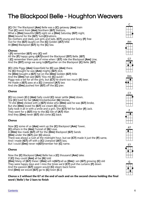# <span id="page-5-0"></span>The Blackpool Belle - Houghton Weavers

**[C]** Oh! The Blackpool **[Am]** Belle was a **[C]** getaway **[Am]** train That **[C]** went from **[Am]** Northern **[G7]** Stations, What a **[Dm]** beautiful **[G7]** sight on a **[Dm]** Saturday **[G7]** night, **[Dm]** bound for the **[G7]** 'lumi**[C]**nations. No mothers and dads, just girls and lads, **[C7]** young and fancy **[F]** free Out for the **[G7]** laughs on the **[C]** Golden **[A7]** Mile At **[Dm]** Blackpool **[G7]** by the **[C]** Sea.

#### **Chorus:**

I **[F]** remember **[G7]** very **[C]** well All the **[F]** happy gang a**[A7]**board the Blackpool **[D7]** Belle. **[G7]** I **[C]** remember them pals of mine when I **[E7]** ride the Blackpool **[Am]** Line, And the **[D7]** songs we sang to**[G7]**gether on the Blackpool **[C]** Belle. **[G7]**

**[C]** Little Piggy **[Am]** Greenfield he **[C]** was **[Am]** there. He **[C]** thought he was **[Am]** mighty **[G7]** slick. He **[Dm]** bought a **[G7]** hat on the **[Dm]** Golden **[G7]** Mile And the **[Dm]** hat said **[G7]** "Kiss me **[C]** quick". Piggy was a lad for all the girls, but **[C7]** he drank too much **[F]** beer. He made a **[G7]** pass at a **[C]** Liverpool **[A7]** lass And she **[Dm]** pushed him **[G7]** off the **[C]** pier.

#### **Chorus**

**[C]** Ice cream **[C↓] [Am]** Sally could **[C]** never settle **[Am]** down. She **[C]** lived for her **[Am]** Knickerbocker **[G]** Glories, 'Til she **[Dm]** clicked with a **[G7]** bloke who **[Dm]** said he was **[G7]** broke, But she **[Dm]** loved his **[G7]** ice cream **[C]** stories. Sally took it all in with a smile and a grin. She **[C7]** fell for Sailor **[F]** Jack. They went for a **[G7]** trip to the **[C]** Isle of **[A7]** Man And they **[Dm]** never **[G7]** did come **[C]** back.

#### **Chorus**

Now **[C]** some of us **[Am]** went up the **[C]** Blackpool **[Am]** Tower, **[C]** others in the **[Am]** Tunnel of **[G]** Love. A **[Dm]** few made **[G7]** off for the **[Dm]** Blackpool **[G7]** Sands **[Dm]** under the **[G7]** pier **[C]** above. There was always a rush at the midnight hour, but we **[C7]** made it just the **[F]** same, And I made **[G7]** off with a **[C]** Liverpool **[A7]** lass, But I could **[Dm]** never re**[G7]**member her **[C]** name.

#### **Chorus**

Now the **[C]** Blackpool **[Am]** Belle has a **[C]** thousand **[Am]** tales If **[C]** they could **[Am]** all be **[G]** told **[Dm]** Many of **[G7]** these I **[Dm]** will re**[G7]**call as **[Dm]** I am **[G7]** growing **[C]** old They were happy days and I miss the times we'd **[C7]** pull the curtains **[F]** down And the passion **[G7]** wagon would **[C]** steam back home And **[Dm]** we would **[G7]** go to **[C]** town **[C↓]**

#### **Chorus x 2 without the G7 at the end of each and on the second chorus holding the final word ('Belle') for 2 bars to finish**

















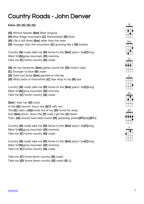# <span id="page-6-0"></span>Country Roads - John Denver

### **Intro: [G] [G] [G] [G]**

**[G]** Almost heaven **[Em]** West Virginia **[D]** Blue Ridge mountains **[C]** Shenandoah **[G]** River **[G]** Life is old there **[Em]** older than the trees **[D]** Younger than the mountains **[C]** growing like a **[G]** breeze Country **[G]** roads take me **[D]** home to the **[Em]** place I be**[C]**long West Vir**[G]**ginia mountain **[D]** momma Take me **[C]** home country **[G]** roads **[G]** All my memories **[Em]** gather round her **[D]** miner's lady **[C]** Stranger to blue **[G]** water **[G]** Dark and dusty **[Em]** painted on the sky **[D]** Misty taste of moonshine **[C]** tear drop in my **[G]** eye Country **[G]** roads take me **[D]** home to the **[Em]** place I be**[C]**long West Vir**[G]**ginia mountain **[D]** momma Take me **[C]** home country **[G]** roads **[Em]** I hear her **[D]** voice In the **[G]** mornin' hours she **[G7]** calls me The **[C]** radio re**[G]**minds me of my **[D]** home far away And **[Em]** drivin' down the **[F]** road I get the **[C]** feelin' That I **[G]** should have been home **[D]** yesterday yester**[D7]**day**[D7↓]** Country **[G]** roads take me **[D]** home to the **[Em]** place I be**[C]**long West Vir**[G]**ginia mountain **[D]** momma Take me **[C]** home country **[G]** roads

Country **[G]** roads take me **[D]** home to the **[Em]** place I be**[C]**long West Vir**[G]**ginia mountain **[D]** momma Take me **[C]** home country **[G]** roads

Take me **[C]** home down country **[G]** roads Take me **[D]** home down country **[G]** roads **[G↓↓]**



G



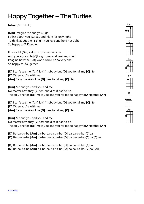# <span id="page-7-0"></span>Happy Together – The Turtles

**Intro: [Dm↓↓↓↓↓↓]**

**[Dm]** Imagine me and you, I do I think about you **[C]** day and night it's only right To think about the **[Bb]** girl you love and hold her tight So happy to**[A7]**gether

If I should **[Dm]** call you up invest a dime And you say you be**[C]**long to me and ease my mind Imagine how the **[Bb]** world could be so very fine So happy to**[A7]**gether

**[D]** I can't see me **[Am]** lovin' nobody but **[D]** you for all my **[C]** life **[D]** When you're with me **[Am]** Baby the skies'll be **[D]** blue for all my **[C]** life

**[Dm]** Me and you and you and me No matter how they **[C]** toss the dice it had to be The only one for **[Bb]** me is you and you for me so happy to**[A7]**gether **[A7]**

**[D]** I can't see me **[Am]** lovin' nobody but **[D]** you for all my **[C]** life **[D]** When you're with me **[Am]** Baby the skies'll be **[D]** blue for all my **[C]** life

**[Dm]** Me and you and you and me No matter how they **[C]** toss the dice it had to be The only one for **[Bb]** me is you and you for me so happy to**[A7]**gether **[A7]**

**[D]** Ba-ba-ba-ba **[Am]** ba-ba-ba-ba ba-ba-**[D]** ba ba-ba-ba-**[C]**ba **[D]** Ba-ba-ba-ba **[Am]** ba-ba-ba-ba ba-ba-**[D]** ba ba-ba-ba-**[C]**ba **[C]** aa

**[D]** Ba-ba-ba-ba **[Am]** ba-ba-ba-ba ba-ba-**[D]** ba ba-ba-ba-**[C]**ba **[D]** Ba-ba-ba-ba **[Am]** ba-ba-ba-ba ba-ba-**[D]** ba ba-ba-ba-**[C]**ba **[D↓]**









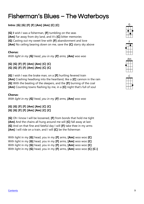# <span id="page-8-0"></span>Fisherman's Blues – The Waterboys

## **Intro: [G] [G] [F] [F] [Am] [Am] [C] [C]**

**[G] I** wish I was a fisherman, **[F]** tumbling on the seas **[Am]** Far away from dry land, and it's **[C]** bitter memories **[G]** Casting out my sweet line with **[F]** abandonment and love **[Am]** No ceiling bearing down on me, save the **[C]** starry sky above

#### **Chorus:**

*With light in my [G] head, you in my [F] arms, [Am] woo woo*

### **[G] [G] [F] [F] [Am] [Am] [C] [C] [G] [G] [F] [F] [Am] [Am] [C] [C]**

**[G]** I wish I was the brake man, on a **[F]** hurtling fevered train **[Am]** Crashing headlong into the heartland, like a **[C]** cannon in the rain **[G]** With the beating of the sleepers, and the **[F]** burning of the coal **[Am]** Counting towns flashing by me, in a **[C]** night that's full of soul

#### **Chorus:**

*With light in my [G] head, you in my [F] arms, [Am] woo woo*

### **[G] [G] [F] [F] [Am] [Am] [C] [C] [G] [G] [F] [F] [Am] [Am] [C] [C]**

**[G]** Oh I know I will be loosened, **[F]** from bonds that hold me tight **[Am]** And the chains all hung around me will **[C]** fall away at last **[G]** And on that fine and fateful day I will **[F]** take thee in my arms **[Am]** I will ride on a train, and I will **[C]** be the fisherman

With light in my **[G]** head, you in my **[F]** arms, **[Am]** woo woo **[C]**  With light in my **[G]** head, you in my **[F]** arms, **[Am]** woo woo **[C]** With light in my **[G]** head, you in my **[F]** arms, **[Am]** woo woo **[C]** With light in my **[G]** head, you in my **[F]** arms, **[Am]** woo woo **[C] [C↓]**



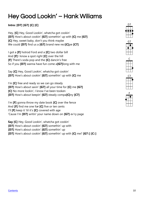# <span id="page-9-0"></span>Hey Good Lookin' – Hank Wiliams

### **Intro: [D7] [G7] [C] [C]**

Hey, **[C]** Hey, Good Lookin', whatcha got cookin' **[D7]** How's about cookin' **[G7]** somethin' up with **[C]** me **[G7] [C]** Hey, sweet baby, don't you think maybe We could **[D7]** find us a **[G7]** brand new reci**[C]**pe **[C7]**

I got a **[F]** hotrod Ford and a **[C]** two dollar bill And **[F]** I know a spot right **[C]** over the hill **[F]** There's soda pop and the **[C]** dancin's free So if you **[D7]** wanna have fun come a**[G7]**long with me

Say **[C]** Hey, Good Lookin', whatcha got cookin' **[D7]** How's about cookin' **[G7]** somethin' up with **[C]** me

I'm **[C]** free and ready so we can go steady **[D7]** How's about savin' **[G7]** all your time for **[C]** me **[G7] [C]** No more lookin', I know I've been tooken **[D7]** How's about keepin' **[G7]** steady compa**[C]**ny **[C7]**

I'm **[F]** gonna throw my date book **[C]** over the fence And **[F]** find me one fo**r [C]** five or ten cents I'll **[F]** keep it 'til it's **[C]** covered with age 'Cause I'm **[D7]** writin' your name down on **[G7]** ev'ry page

**Say [C]** Hey, Good Lookin', whatcha got cookin'

**[D7]** How's about cookin' **[G7]** somethin' up with

**[D7]** How's about cookin' **[G7]** somethin' up

**[D7]** How's about cookin' **[G7]** somethin' up with **[C]** me? **[G7↓] [C↓]**

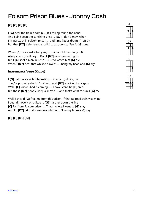# <span id="page-10-0"></span>Folsom Prison Blues - Johnny Cash

### **[G] [G] [G] [G]**

I **[G]** hear the train a comin' … It's rolling round the bend And I ain't seen the sunshine since … **[G7]** I don't know when I'm **[C]** stuck in Folsom prison … and time keeps draggin' **[G]** on But that **[D7]** train keeps a rollin' … on down to San An**[G]**tone

When **[G]** I was just a baby my ... mama told me son (son!) Always be a good boy … Don't **[G7]** ever play with guns But I **[C]** shot a man in Reno … just to watch him **[G]** die When I **[D7]** hear that whistle blowin' … I hang my head and **[G]** cry

#### **Instrumental Verse (Kazoo)**

I **[G]** bet there's rich folks eating … in a fancy dining car They're probably drinkin' coffee … and **[G7]** smoking big cigars Well I **[C]** know I had it coming … I know I can't be **[G]** free But those **[D7]** people keep a-movin' … and that's what tortures **[G]** me

Well if they'd **[G]** free me from this prison, If that railroad train was mine I bet I'd move it on a little … **[G7]** farther down the line **[C]** Far from Folsom prison … That's where I want to **[G]** stay And I'd **[D7]** let that lonesome whistle … Blow my blues a**[G]**way

**[G] [G] [D↓] [G↓]**



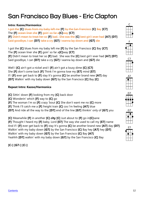# <span id="page-11-0"></span>San Francisco Bay Blues - Eric Clapton

#### **Intro: Kazoo/Harmonica:**

I got the **[C]** blues from my baby left me **[F]** by the San Francisco **[C]** Bay **[C7]** The **[F]** ocean liner she **[F]** goin' so far a**[C]**way **[C7] [F]** Didn't mean to treat her so **[F]** bad. She was the **[C]** best girl I ever had **[A7] [D7]**  Said goodbye, I can **[D7]** take a cry **[G7]** I wanna lay down and **[G7]** die

I got the **[C]** blues from my baby left me **[F]** by the San Francisco **[C]** Bay **[C7]** The **[F]** ocean liner she **[F]** goin' so far a**[C]**way **[C7] [F]** Didn't mean to treat her so **[F]** bad. She was the **[C]** best girl I ever had **[A7] [D7]**  Said goodbye, I can **[D7]** take a cry **[G7]** I wanna lay down and **[G7]** die

Well I **[C]** ain't got a nickel and I **[F]** ain't got a lousy dime **[C] [C7]** She **[F]** don't come back **[F]** Think I'm gonna lose my **[E7]** mind **[E7]** If I **[F]** ever get back to **[F]** stay It's gonna **[C]** be another brand new **[A7]** day **[D7]** Walkin' with my baby down **[G7]** by the San Francisco **[C]** Bay **[C]** 

#### **Repeat Intro: Kazoo/Harmonica**

**[C]** Sittin' down **[F]** looking from my **[C]** back door **[C]** Wonderin' which **[F]** way to **[C]** go **[F]** The woman I'm so **[F]** crazy 'bout **[C]** She don't want me no **[C]** more **[F]** Think I'll catch me a **[F]** freight train **[C]** cos I'm feeling **[A7]** blue **[D7]** And ride all the way to the **[D7]** end of the line **[G7]** thinkin' only of **[G7]** you

**[C]** Meanwhile **[F]** in another **[C] city [C]** Just about to **[F]** go in**[C]**sane **[F]** Thought I heard my **[F]** baby, Lord **[E7]** The way she used to call my **[E7]** name And if I **[F]** ever get back to **[F]** stay It's gonna **[C]** be another brand new **[A7]** day **[D7]**  Walkin' with my baby down **[G7]** by the San Francisco **[C]** Bay hey **[A7]** hey **[D7]**  Walkin' with my baby down **[G7]** by the San Francisco **[C]** Bay **[A7]** Yeahhh **[D7]** walkin' with my baby down **[G7]** by the San Francisco **[C]** Bay

**[C↓] [G7↓] [C↓]**







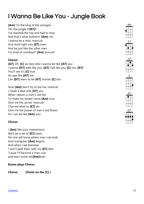# <span id="page-12-0"></span>I Wanna Be Like You - Jungle Book

**[Am]** I'm the king of the swingers Oh, the jungle VI**[E7]**P, I've reached the top and had to stop And that's what botherin' **[Am]** me. I wanna be a man, mancub, And stroll right into **[E7]** town And be just like the other men I'm tired of monkeyin' **[Am]** around!

### **Chorus**

**[G7]** Oh, **[C]** oo-bee-doo I wanna be like **[A7]** you I wanna **[D7]** walk like you, **[G7]** Talk like you **[C]** too. **[G7]**  You'll see it's **[C]** true An ape like **[A7]** me Can **[D7]** learn to be **[G7]** human **[C]** too.

Now **[Am]** don't try to kid me, mancub I made a deal with **[E7]** you What I desire is man's red fire To make my dream come **[Am]** true. Give me the secret, mancub, Clue me what to **[E7]** do Give me the power of man's red flower So I can be like **[Am]** you.

### **Chorus**

I **[Am]** like your mannerisms, We'll be a set of **[E7]** twins No one will know where man-cub ends And orangutan **[Am]** begins And when I eat bananas, I won't peel them with my **[E7]** feet 'Cause I'll become a man-cub and learn some etti**[Am]**keet.

#### **Kazoo plays Chorus**

### **Chorus (Finish on the [C] )**





#### <u>[Contents](#page-1-0)</u> and the content of the content of the content of the content of the content of the content of the content of the content of the content of the content of the content of the content of the content of the content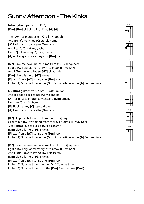# <span id="page-13-0"></span>Sunny Afternoon - The Kinks

### **Intro: (strum pattern ↓↓↓↑↓↑) [Dm] [Dm] [A] [A] [Dm] [Dm] [A] [A]**

The **[Dm]** taxman's taken **[C]** all my dough And **[F]** left me in my **[C]** stately home **[A]** Lazin' on a sunny after**[Dm]**noon And I can't **[C]** sail my yacht He's **[F]** taken every**[C]**thing I've got **[A]** All I've got's this sunny after**[Dm]**noon

**[D7]** Save me, save me, save me from this **[G7]** squeeze I got a **[C7]** big fat mama tryin' to break **[F]** me **[A7]** And I **[Dm]** love to live so **[G7]** pleasantly **[Dm]** Live this life of **[G7]** luxury **[F]** Lazin' on a **[A7]** sunny after**[Dm]**noon In the **[A]** Summertime In the **[Dm]** Summertime In the **[A]** Summertime

My **[Dm]** girlfriend's run off **[C]** with my car And **[F]** gone back to her **[C]** ma and pa **[A]** Tellin' tales of drunkenness and **[Dm]** cruelty Now I'm **[C]** sittin' here **[F]** Sippin' at my **[C]** ice-cold beer **[A]** Lazin' on a sunny after**[Dm]**noon

**[D7]** Help me, help me, help me sail a**[G7]**way Or give me **[C7]** two good reasons why I oughta **[F]** stay **[A7]** 'Cos I **[Dm]** love to live so **[G7]** pleasantly **[Dm]** Live this life of **[G7]** luxury **[F]** Lazin' on a **[A7]** sunny after**[Dm]**noon In the **[A]** Summertime In the **[Dm]** Summertime In the **[A]** Summertime

**[D7]** Save me, save me, save me from this **[G7]** squeeze I got a **[C7]** big fat mama tryin' to break **[F]** me **[A7]** And I **[Dm]** love to live so **[G7]** pleasantly **[Dm]** Live this life of **[G7]** luxury **[F]** Lazin' on a **[A7]** sunny after**[Dm]**noon In the **[A]** Summertime In the **[Dm]** Summertime In the **[A]** Summertime In the **[Dm]** Summertime **[Dm**<sup>1</sup>**]** 



Dm



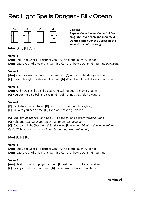# <span id="page-14-0"></span>Red Light Spells Danger - Billy Ocean



**Backing**

**Repeat Verse 1 over Verses 2 & 3 and sing 'ahh' over each line in Verse 4. Do the same over the Verses in the second part of the song**

### **Intro: [Am] [F] [C] [G]**

#### **Verse 1**

**[Am]** Red Light, Spells **[F]** danger Can't **[C]** hold out, much **[G]** longer **[Am]** 'Cause red light means **[F]** warning Can't **[C]** hold out, I'm **[G]** burning *(No,no,no)*

#### **Verse 2**

**[Am]** You took my heart and turned me on. **[F]** And now the danger sign is on **[C]** I never thought the day would come. **[G]** When I would feel alone without you

#### **Verse 3**

**[Am]** And now I'm like a child again. **[F]** Calling out his mama's name **[C]** You got me on a ball and chain. **[G]** Doin' things that I don't want to

#### **Verse 4**

**[F]** Can't stop running to ya. **[G]** Feel the love coming through ya, **[F]** Girl with you beside me. **[G]** Hold on, heaven guide me...

**[C]** Red light *(til the red light)* Spells **[F]** danger *(oh a danger warning)* Can't **[C]** hold out *(can't hold out)* Much **[G]** longer *(no no baby)* **[C]** 'Cause red light *(feel the red light)* Means **[F]** warning *(oh it's a danger warning)* Can't **[C]** hold out *(no no now)* I'm **[G]** burning *(woah-oh oh oh)*

### **[Am] [F] [C] [G]**

#### **Verse 1**

**[Am]** Red Light, Spells **[F]** danger Can't **[C]** hold out, much **[G]** longer **[Am]** 'Cause red light means **[F]** warning Can't **[C]** hold out, I'm **[G]** burning

#### **Verse 2**

[**Am]** I had my fun and played around. **[F]** Without a love to tie me down, **[C]** I always used to kiss and run. **[G]** I never wanted love to catch me.

#### **continued**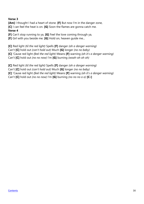#### **Verse 3**

**[Am]** I thought I had a heart of stone. **[F]** But now I'm in the danger zone, **[C]** I can feel the heat is on. **[G]** Soon the flames are gonna catch me. **Verse 4**

**[F]** Can't stop running to ya, **[G]** Feel the love coming through ya, **[F]** Girl with you beside me. **[G]** Hold on, heaven guide me...

**[C]** Red light *(til the red light)* Spells **[F]** danger *(oh a danger warning)* Can't **[C]** hold out *(can't hold out)* Much **[G]** longer *(no no baby)* **[C]** 'Cause red light *(feel the red light)* Means **[F]** warning *(oh it's a danger warning)* Can't **[C]** hold out *(no no now)* I'm **[G]** burning *(woah-oh oh oh)*

**[C]** Red light *(til the red light)* Spells **[F]** danger *(oh a danger warning)* Can't **[C]** hold out *(can't hold out)* Much **[G]** longer *(no no baby)* **[C]** 'Cause red light *(feel the red light)* Means **[F]** warning *(oh it's a danger warning)* Can't **[C]** hold out *(no no now)* I'm **[G]** burning *(no no no o o)* **[C↓]**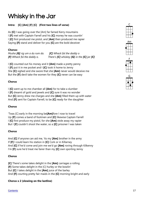# <span id="page-16-0"></span>Whisky in the Jar

#### **Intro: [C] [Am] [F] [C] (First two lines of verse)**

As **[C]** I was going over the [Am] far famed Kerry mountains I **[F]** met with Captain Farrell and his **[C]** money he was countin' I **[C]** first produced me pistol, and [**Am]** then produced me rapier Saying **[F]** stand and deliver for you **[C]** are the bold deceiver

#### **Chorus:**

*Musha [G] rig um a du rum da. [C] Whack fol the daddy o* 

*[F] Whack fol the daddy o. There's [C] whiskey [G] in the [C] jar [C]*

I **[C]** counted out his money and it **[Am]** made a pretty penny I **[F]** put it in me pocket and I **[C]** took it home to Jenny She **[C]** sighed and she swore that she **[Am]** never would deceive me But the **[F]** devil take the women for they **[C]** never can be easy

#### **Chorus**

I **[C]** went up to me chamber all **[Am]** for to take a slumber I **[F]** dreamt of gold and jewels and **[C]** sure it was no wonder But **[C]** Jenny drew me charges and she **[Am]** filled them up with water And **[F]** sent for Captain Farrell, to be **[C]** ready for the slaughter

#### **Chorus**

'Twas [C] early in the morning be**[Am]**fore I rose to travel Up **[F]** comes a band of footmen and **[C]** likewise Captain Farrell I **[C]** first produce my pistol, for she **[Am]** stole away my rapier But I **[F]** couldn't shoot the water, so a **[C]** prisoner I was taken

#### **Chorus**

And **[C]** if anyone can aid me, 'tis my **[Am]** brother in the army If **[F]** I could learn his station in **[C]** Cork or in Killarney And **[C]** if he'd come and join me we'd go **[Am]** roving through Kilkenny I'm **[F]** sure he'd treat me fairer than my **[C]** own sporting Jenny

#### **Chorus**

**[C]** There's some takes delight in the **[Am]** carriages a rolling **[F]** Some takes delight in the [C] hurley or the bowlin' But **[C]** I takes delight in the **[Am]** juice of the barley And **[F]** courting pretty fair maids in the **[C]** morning bright and early

#### **Chorus x 2 (slowing on the lastline)**







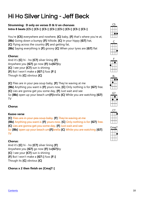# <span id="page-17-0"></span>Hi Ho Silver Lining - Jeff Beck

### **Strumming: D only on verses D & U on choruses Intro 8 beats [C5↓] [C5↓] [C5↓] [C5↓] [C5↓] [C5↓] [C5↓] [C5↓]**

You're **[C5]** everywhere and nowhere, **[C]** baby, **[F]** that's where you're at, **[Bb]** Going down a bumpy **[F]** hillside, **[C]** In your hippy **[G7]** hat, **[C]** Flying across the country **[F]** and getting fat, **[Bb]** Saying everything is **[F]** groovy **[C]** When your tyres are **[G7]** flat

#### **Chorus:**

And it's **[C]** hi - ho **[C7]** silver lining **[F]** Anywhere you **[G7]** go now **[F]** ba**[G7]**by **[C]** I see your **[C7]** sun is shining **[F]** But I won't make a **[G7↓]** fuss **[F↓]** Though its **[C]** obvious **[C]**

**[C]** Flies are in your pea soup baby, **[F]** They're waving at me **[Bb]** Anything you want is **[F]** yours now, **[C]** Only nothing is for **[G7]** free. **[C]** Lies are gonna get you some day, **[F]** Just wait and see So **[Bb]** open up your beach um**[F]**brella **[C]** While you are watching **[G7]**  TV

#### **Chorus**

#### **Kazoo verse**

**[C]** Flies are in your pea soup baby, **[F]** They're waving at me **[Bb]** Anything you want is **[F]** yours now, **[C]** Only nothing is for **[G7]** free. **[C]** Lies are gonna get you some day, **[F]** Just wait and see So **[Bb]** open up your beach um**[F]**brella **[C]** While you are watching **[G7]**  TV

#### **Chorus:**

And it's **[C]** hi - ho **[C7]** silver lining **[F]** Anywhere you **[G7]** go now **[F]** ba**[G7]**by **[C]** I see your **[C7]** sun is shining **[F]** But I won't make a **[G7↓]** fuss **[F↓]** Though its **[C]** obvious **[C]**

### **Chorus x 2 then finish on [Cmaj7↓]**











| Jmai |  |  |  |
|------|--|--|--|
|      |  |  |  |
|      |  |  |  |
|      |  |  |  |
|      |  |  |  |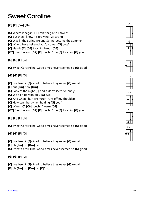# <span id="page-18-0"></span>Sweet Caroline

### **[G] [F] [Em] [Dm]**

- **[C]** Where it began, [F] I can't begin to knowin'
- **[C]** But then I know it's growing **[G]** strong
- **[C]** Was in the Spring **[F]** and Spring became the Summer
- **[C]** Who'd have believed you'd come a**[G]**long?
- **[C]** Hands **[C] [C6]** touchin' hands **[C6]**
- **[G7]** Reachin' out **[G7] [F]** touchin' me **[F]** touchin' **[G]** you

### **[G] [G] [F] [G]**

**[C]** Sweet Caro**[F]**line. Good times never seemed so **[G]** good

## **[G] [G] [F] [G]**

- **[C]** I've been in**[F]**clined to believe they never **[G]** would
- **[F]** but **[Em]** now **[Dm]** I
- **[C]** Look at the night **[F]** and it don't seem so lonely
- **[C]** We fill it up with only **[G]** two
- **[C]** And when I hurt **[F]** hurtin' runs off my shoulders
- **[C]** How can I hurt when holding **[G]** you?
- **[C]** Warm **[C] [C6]** touchin' warm **[C6]**
- **[G7]** Reachin' out **[G7] [F]** touchin' me **[F]** touchin' **[G]** you

## **[G] [G] [F] [G]**

**[C]** Sweet Caro**[F]**line. Good times never seemed so **[G]** good

## **[G] [G] [F] [G]**

- **[C]** I've been in**[F]**clined to believe they never **[G]** would
- **[F]** oh **[Em]** no **[Dm]** no
- **[C]** Sweet Caro**[F]**line. Good times never seemed so **[G]** good

### **[G] [G] [F] [G]**

**[C]** I've been in**[F]**clined to believe they never **[G]** would **[F]** oh **[Em]** no **[Dm]** no **[C]\*** no.



 $\mathsf{C}$ 



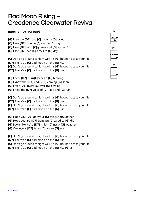# <span id="page-19-0"></span>Bad Moon Rising – Creedence Clearwater Revival

**Intro: [G] [D7] [C] [G][G]**

**[G]** I see the **[D7]** bad **[C]** moon a **[G]** rising

**[G]** I see **[D7]** trouble **[C]** on the **[G]** way

**[G]** I see **[D7]** earth**[C]**quakes and **[G]** lightnin'

**[G]** I see **[D7]** bad **[C]** times to **[G]** day

**[C]** Don't go around tonight well it's **[G]** bound to take your life **[D7]** There's a **[C]** bad moon on the **[G]** rise **[C]** Don't go around tonight well it's **[G]** bound to take your life **[D7]** There's a **[C]** bad moon on the **[G]** rise

**[G]** I hear **[D7]** hurri**[C]**canes a **[G]** blowing

**[G]** I know the **[D7]** end is **[C]** coming **[G]** soon

**[G]** I fear **[D7]** rivers **[C]** over **[G]** flowing

**[G]** I hear the **[D7]** voice of **[C]** rage and **[G]** ruin

**[C]** Don't go around tonight well it's **[G]** bound to take your life **[D7]** There's a **[C]** bad moon on the **[G]** rise **[C]** Don't go around tonight well it's **[G]** bound to take your life **[D7]** There's a **[C]** bad moon on the **[G]** rise

**[G]** Hope you **[D7]** got your **[C]** things to**[G]**gether

**[G]** Hope you are **[D7]** quite pre**[C]**pared to **[G]** die

**[G]** Looks like we're **[D7]** in for **[C]** nasty **[G]** weather

**[G]** One eye is **[D7]** taken [**C]** for an **[G]** eye

**[C]** Don't go around tonight well it's **[G]** bound to take your life

**[D7]** There's a **[C]** bad moon on the **[G]** rise

**[C]** Don't go around tonight well it's **[G]** bound to take your life

**[D7]** There's a **[C]** bad moon on the **[G]** rise **[G↓↓]**